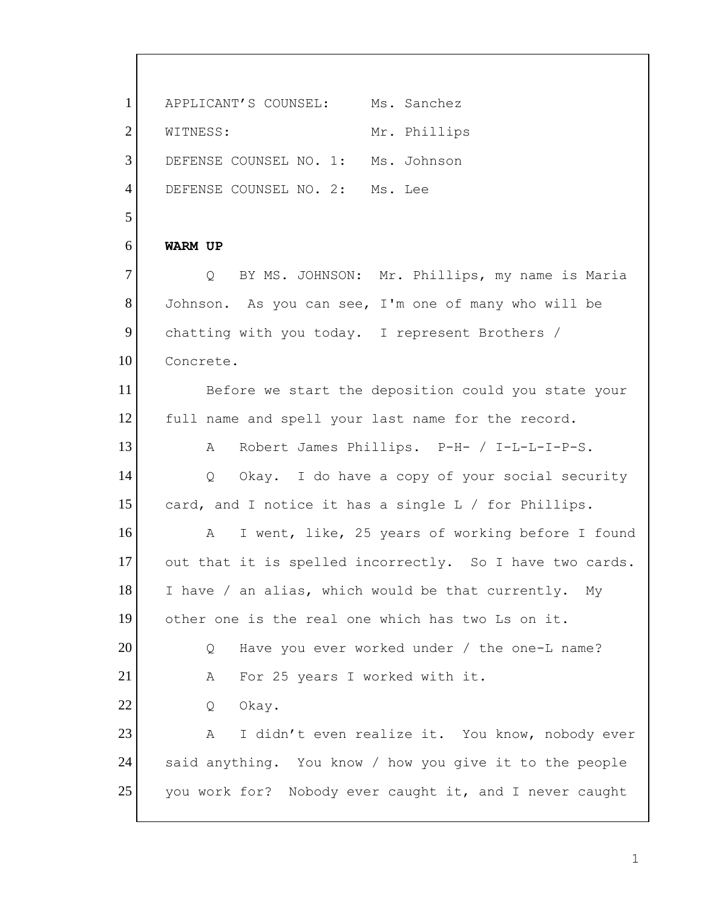WITNESS: **WARM UP**  $\circ$  $\mathbb{A}$  $\circ$  $\mathcal{A}$  $\circ$  $\mathbb{A}$  $\overline{Q}$  $\mathbb{A}$  said anything. You know / how you give it to the people 1 2 3 4 5 6 7 8 9 10 11 12 13 14 15 16 17 18 19 20 21 22 23 24 25 APPLICANT'S COUNSEL: Ms. Sanchez Mr. Phillips DEFENSE COUNSEL NO. 1: Ms. Johnson DEFENSE COUNSEL NO. 2: Ms. Lee BY MS. JOHNSON: Mr. Phillips, my name is Maria Johnson. As you can see, I'm one of many who will be chatting with you today. I represent Brothers / Concrete. Before we start the deposition could you state your full name and spell your last name for the record. A Robert James Phillips. P-H- / I-L-L-I-P-S. Okay. I do have a copy of your social security card, and I notice it has a single L / for Phillips. I went, like, 25 years of working before I found out that it is spelled incorrectly. So I have two cards. I have / an alias, which would be that currently. My other one is the real one which has two Ls on it. Have you ever worked under / the one-L name? For 25 years I worked with it. Okay. I didn't even realize it. You know, nobody ever you work for? Nobody ever caught it, and I never caught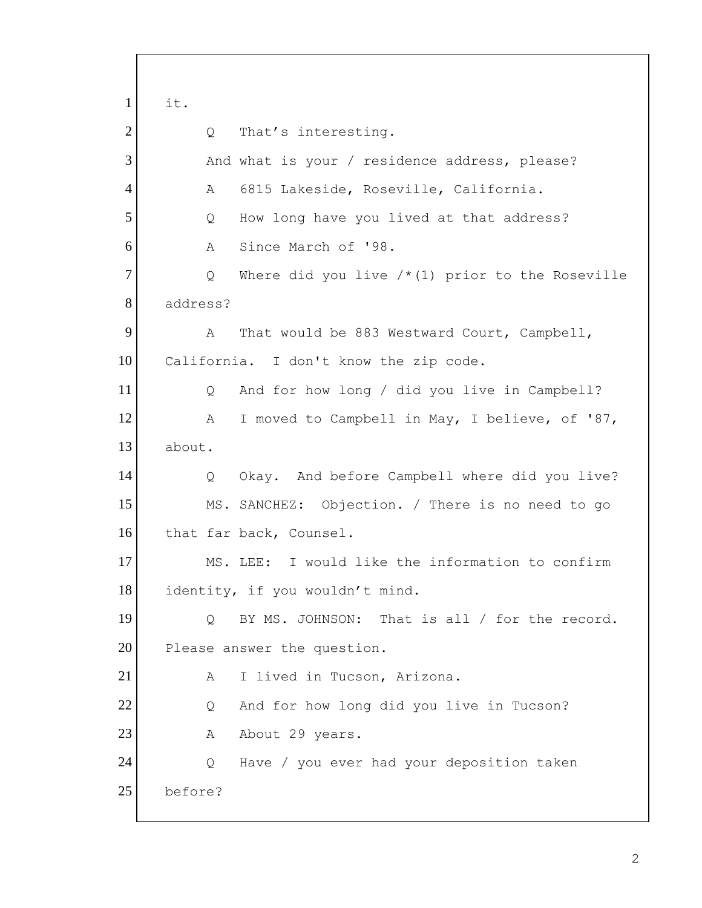$\circ$  $\mathbb A$  $\circ$  $\mathbb A$  $\overline{Q}$  $\mathsf{A}$  $\circ$  $\mathbb{A}$  $\circ$  identity, if you wouldn't mind.  $A$  $Q_{\cdot}$ 1 2 3 4 5 6 7 8 9 10 11 12 13 14 15 16 17 18 19 20 21 22 23 24 25 it. That's interesting. And what is your / residence address, please?<br>A 6815 Lakeside, Roseville, California. How long have you lived at that address? Since March of '98. Where did you live  $/*(1)$  prior to the Roseville address? That would be 883 Westward Court, Campbell, California. I don't know the zip code. And for how long / did you live in Campbell? I moved to Campbell in May, I believe, of '87, about. Okay. And before Campbell where did you live? MS. SANCHEZ: Objection. / There is no need to go that far back, Counsel. MS. LEE: I would like the information to confirm Q BY MS. JOHNSON: That is all / for the record. Please answer the question. I lived in Tucson, Arizona. Q And for how long did you live in Tucson? A About 29 years. Have / you ever had your deposition taken before?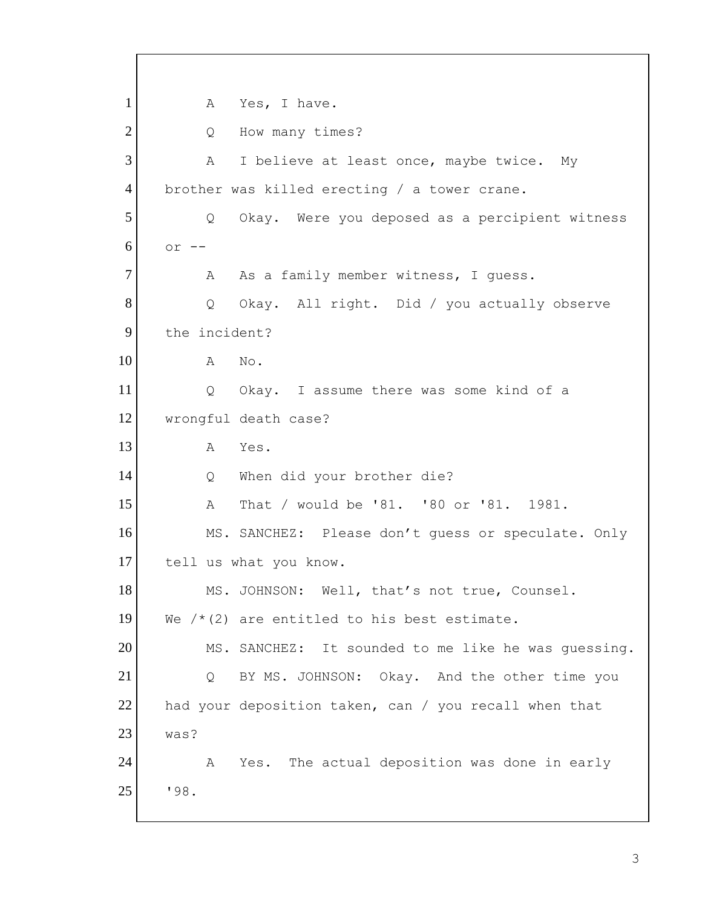```
A\circΑ
           \circA
           \circ\overline{A}\circA\circA 
Q BY MS. JOHNSON: Okay. And the other time you 

had your deposition taken, can / you recall when that 
           A1
2
3
4
5
6
7
8
9
10
11
12
13
14
15
16
17
18
19
20
21
22
23
24
25
               Yes, I have.
               How many times?
               I believe at least once, maybe twice. My
     brother was killed erecting / a tower crane. 
               Okay. Were you deposed as a percipient witness
      or --As a family member witness, I quess.
               Okay. All right. Did / you actually observe
      the incident? 
               No.
               Okay. I assume there was some kind of a
     wrongful death case? 
               Yes.
               When did your brother die?
               That / would be '81. '80 or '81. 1981.
           MS. SANCHEZ: Please don't guess or speculate. Only 
      tell us what you know. 
           MS. JOHNSON: Well, that's not true, Counsel. 
     We /*(2) are entitled to his best estimate.
           MS. SANCHEZ: It sounded to me like he was guessing. 
     was? 
               Yes. The actual deposition was done in early
      '98.
```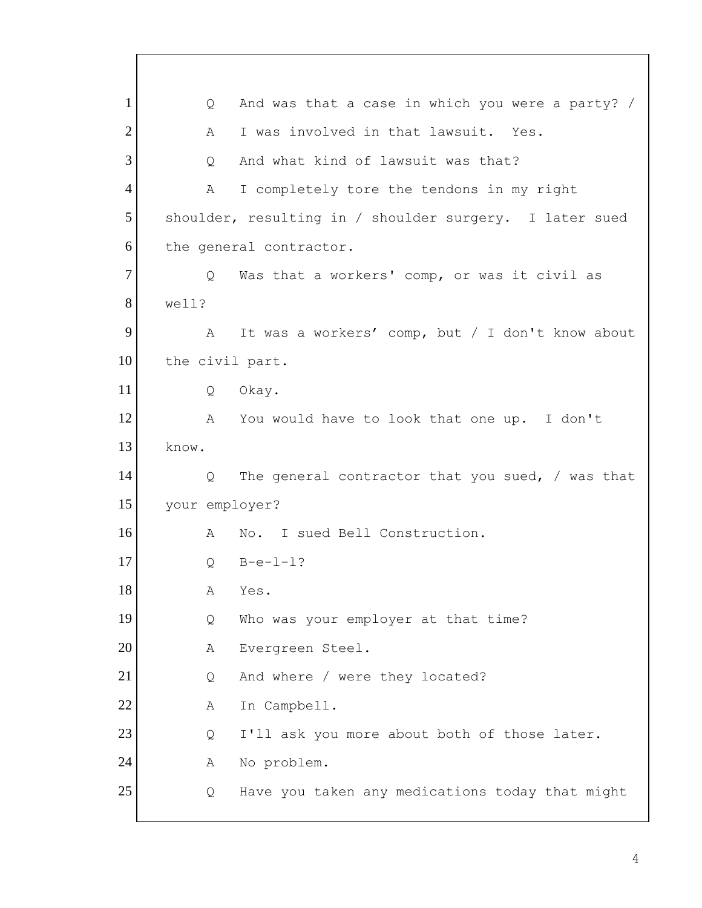$Q_{\perp}$  $\mathbb{A}$ Q  $A$  $Q_{\perp}$  the civil part.  $\circ$  $\mathsf{A}$  $\circ$  $\mathsf{A}$  $\overline{Q}$  $\mathsf{A}$  $Q_{\cdot}$  $A$  $\circ$  $\mathbb{A}$ Q 1 2 3 4 5 6 7 8 9 10 11 12 13 14 15 16 17 18 19 20 21 22 23 24 25 And was that a case in which you were a party? / I was involved in that lawsuit. Yes. And what kind of lawsuit was that? I completely tore the tendons in my right shoulder, resulting in / shoulder surgery. I later sued the general contractor. Was that a workers' comp, or was it civil as well? A It was a workers' comp, but / I don't know about Q Okay. A You would have to look that one up. I don't know. The general contractor that you sued,  $/$  was that your employer? No. I sued Bell Construction.  $B-e-1-1?$ Yes. Who was your employer at that time? Evergreen Steel. And where / were they located? In Campbell. I'll ask you more about both of those later. No problem. Have you taken any medications today that might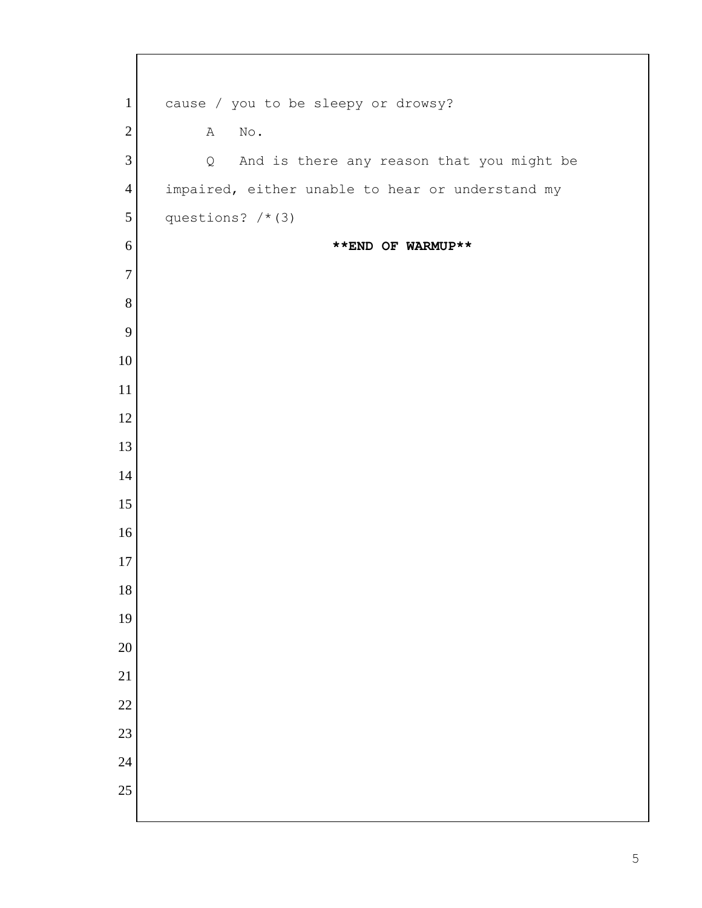| $\mathbf{1}$    | cause / you to be sleepy or drowsy?              |
|-----------------|--------------------------------------------------|
| $\overline{2}$  | Α<br>$\,\rm No$ .                                |
| $\mathfrak{Z}$  | And is there any reason that you might be<br>Q   |
| $\overline{4}$  | impaired, either unable to hear or understand my |
| $\sqrt{5}$      | questions? $/*$ (3)                              |
| 6               | **END OF WARMUP**                                |
| $\overline{7}$  |                                                  |
| $8\,$           |                                                  |
| 9               |                                                  |
| 10              |                                                  |
| 11              |                                                  |
| 12              |                                                  |
| 13              |                                                  |
| 14              |                                                  |
| 15              |                                                  |
| 16              |                                                  |
| 17              |                                                  |
| 18              |                                                  |
| 19              |                                                  |
| 20              |                                                  |
| $\overline{21}$ |                                                  |
| $\overline{22}$ |                                                  |
| $\overline{23}$ |                                                  |
| $\overline{24}$ |                                                  |
| 25              |                                                  |
|                 |                                                  |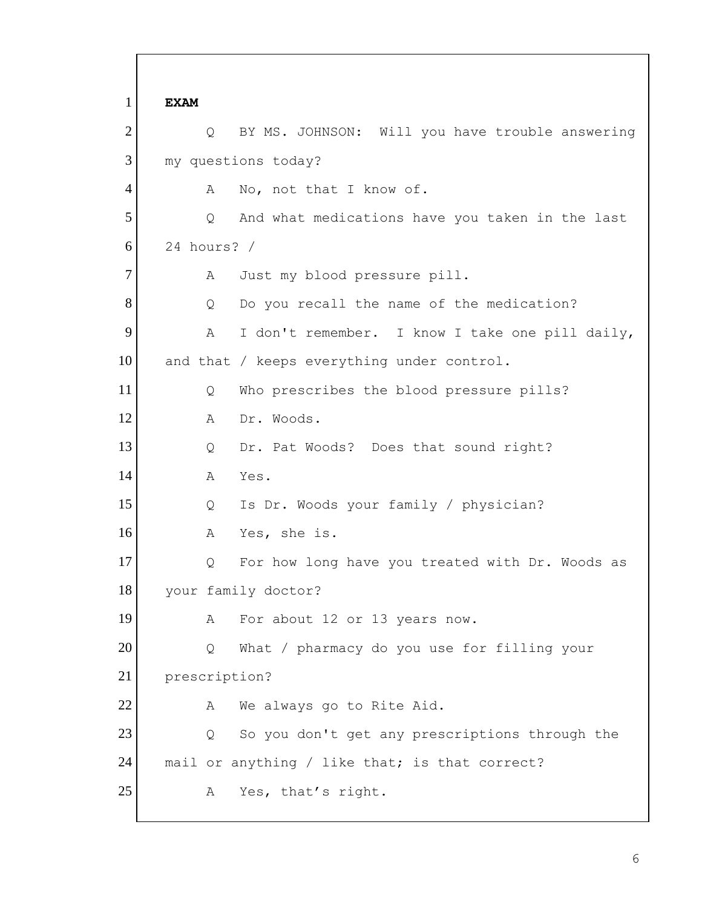$\mathbb{A}$  $\circ$  24 hours? /  $\mathbb{A}$  $\circ$  $\mathbb{A}$  $\circ$  $\mathsf{A}$  $Q$  $\mathbb{A}$  $\overline{Q}$  $\mathbb{A}$  $\circ$  $A$  $\circ$  $\mathbb{A}$ 1 2 3 4 5 6 7 8 9 10 11 12 13 14 15 16 17 18 19 20 21 22 23 24 25 **EXAM**  Q BY MS. JOHNSON: Will you have trouble answering my questions today? No, not that I know of. And what medications have you taken in the last Just my blood pressure pill. Do you recall the name of the medication? I don't remember. I know I take one pill daily, and that / keeps everything under control. Who prescribes the blood pressure pills? Dr. Woods. Dr. Pat Woods? Does that sound right? A Yes. Is Dr. Woods your family / physician? Yes, she is. For how long have you treated with Dr. Woods as your family doctor? For about 12 or 13 years now. What / pharmacy do you use for filling your prescription? We always go to Rite Aid. Q So you don't get any prescriptions through the mail or anything / like that; is that correct? A Yes, that's right.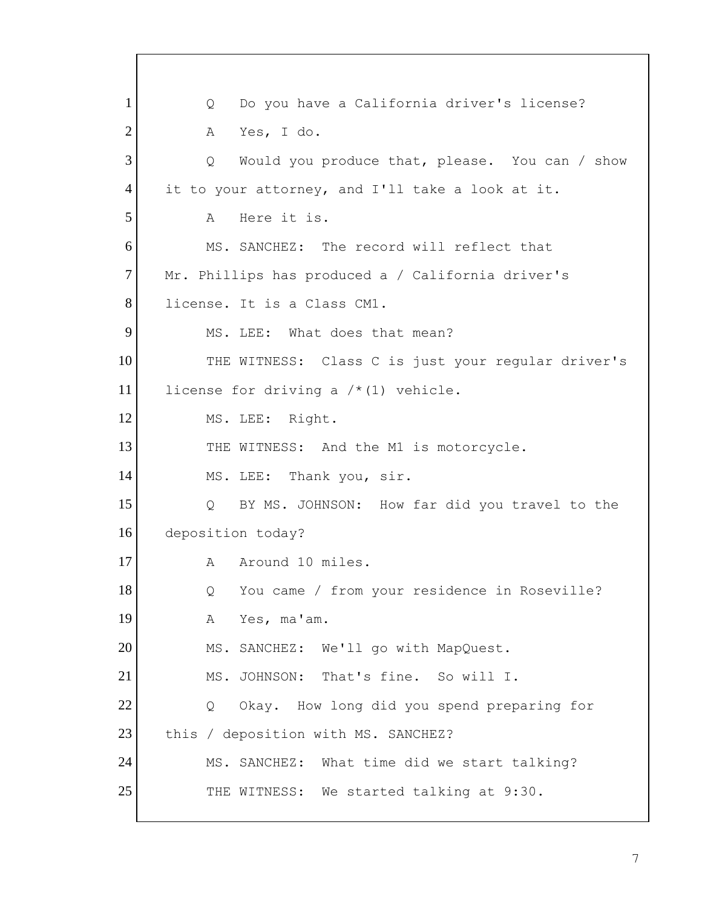$\overline{Q}$  $\mathbb{A}$  Q Would you produce that, please. You can / show  $\Delta$  THE WITNESS: Class C is just your regular driver's license for driving a /\*(1) vehicle. MS. LEE: Right. MS. LEE:  $\circ$  $\overline{Q}$ A  $\overline{Q}$  THE WITNESS: We started talking at 9:30. 1 2 3 4 5 6 7 8 9 10 11 12 13 14 15 16 17 18 19 20 21 22 23 24 25 Do you have a California driver's license? Yes, I do. it to your attorney, and I'll take a look at it. Here it is. MS. SANCHEZ: The record will reflect that Mr. Phillips has produced a / California driver's license. It is a Class CM1. MS. LEE: What does that mean? THE WITNESS: And the M1 is motorcycle. Thank you, sir. BY MS. JOHNSON: How far did you travel to the deposition today? A Around 10 miles. You came / from your residence in Roseville? Yes, ma'am. MS. SANCHEZ: We'll go with MapQuest. MS. JOHNSON: That's fine. So will I. Okay. How long did you spend preparing for this / deposition with MS. SANCHEZ? MS. SANCHEZ: What time did we start talking?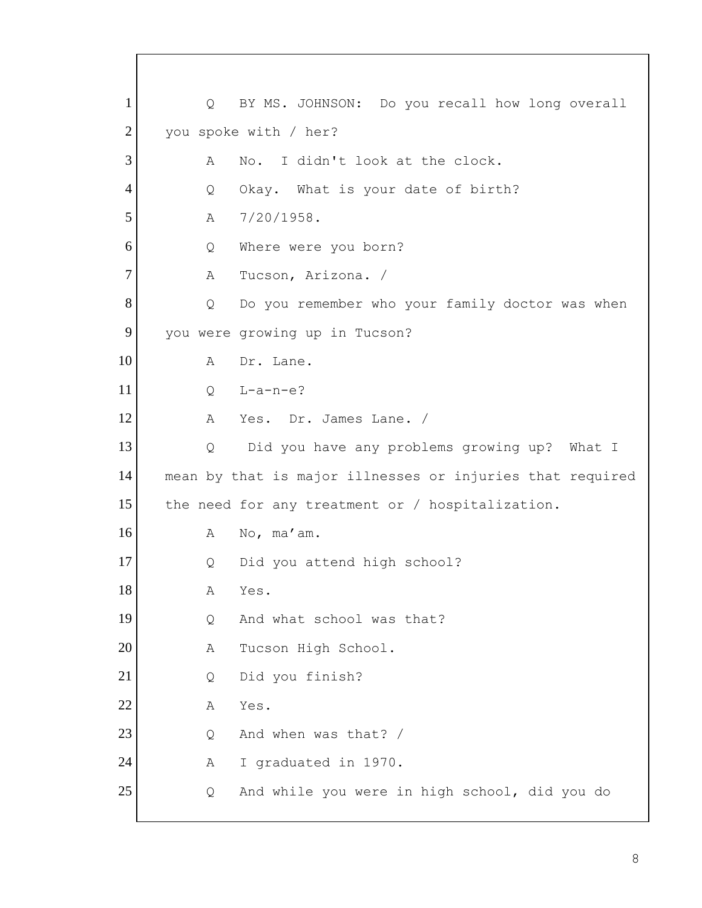$\mathbb A$  $Q$  $\mathbb{A}$  $Q$  $\mathbb{A}$  $\circ$  $\circ$  $\mathbb{A}$  the need for any treatment or / hospitalization.  $A$  $Q$  $A$  $Q_{\cdot}$  $\mathbb A$  $\mathbb{A}$  $\circ$  $\mathbb A$ Q 1 2 3 4 5 6 7 8 9 10 11 12 13 14 15 16 17 18 19 20 21 22 23 24 25 Q BY MS. JOHNSON: Do you recall how long overall you spoke with / her? No. I didn't look at the clock. Okay. What is your date of birth?  $7/20/1958$ . Where were you born? Tucson, Arizona. / Do you remember who your family doctor was when you were growing up in Tucson? A Dr. Lane.  $L-a-n-e$ ? Yes. Dr. James Lane. / Q Did you have any problems growing up? What I mean by that is major illnesses or injuries that required A No, ma'am. Did you attend high school? Yes. And what school was that? Tucson High School. Q Did you finish? Yes. And when was that? / I graduated in 1970. And while you were in high school, did you do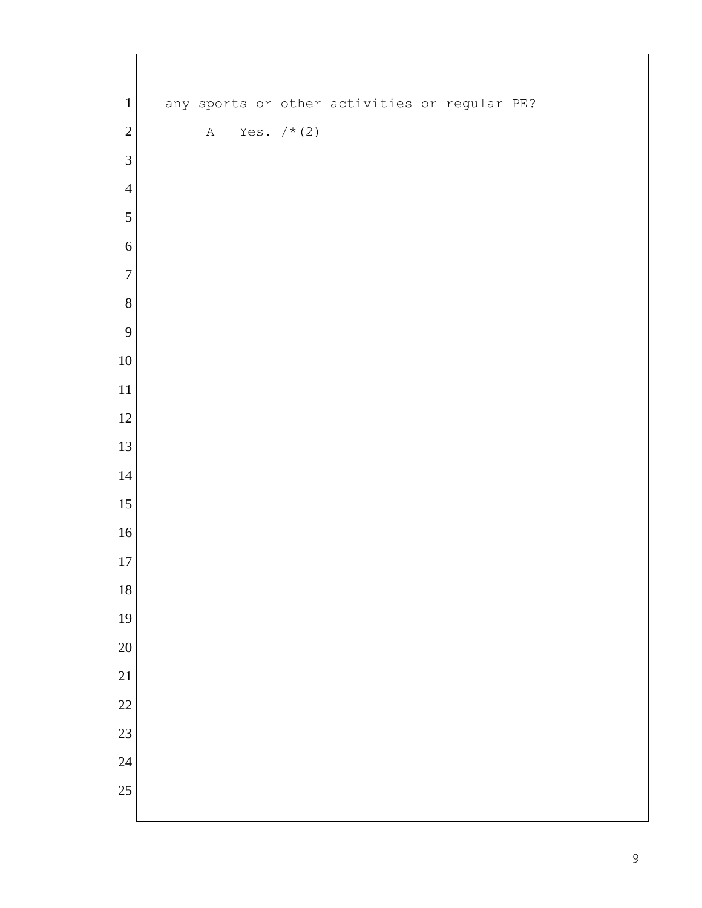| $\mathbf{1}$                       |  |              |  |               |  | any sports or other activities or regular PE? |  |
|------------------------------------|--|--------------|--|---------------|--|-----------------------------------------------|--|
| $\overline{2}$                     |  | $\, {\bf A}$ |  | Yes. $/* (2)$ |  |                                               |  |
| $\mathfrak{Z}$                     |  |              |  |               |  |                                               |  |
| $\overline{4}$                     |  |              |  |               |  |                                               |  |
| 5                                  |  |              |  |               |  |                                               |  |
| 6                                  |  |              |  |               |  |                                               |  |
| $\overline{7}$                     |  |              |  |               |  |                                               |  |
| $\,8\,$                            |  |              |  |               |  |                                               |  |
| 9                                  |  |              |  |               |  |                                               |  |
| $10\,$                             |  |              |  |               |  |                                               |  |
| $11\,$                             |  |              |  |               |  |                                               |  |
| $12\,$                             |  |              |  |               |  |                                               |  |
| 13                                 |  |              |  |               |  |                                               |  |
| 14                                 |  |              |  |               |  |                                               |  |
| $15\,$                             |  |              |  |               |  |                                               |  |
| $16\,$                             |  |              |  |               |  |                                               |  |
| 17                                 |  |              |  |               |  |                                               |  |
| 18                                 |  |              |  |               |  |                                               |  |
| 19                                 |  |              |  |               |  |                                               |  |
| $\overline{20}$                    |  |              |  |               |  |                                               |  |
| $\overline{21}$                    |  |              |  |               |  |                                               |  |
| $\overline{22}$                    |  |              |  |               |  |                                               |  |
| $\overline{23}$<br>$\overline{24}$ |  |              |  |               |  |                                               |  |
| 25                                 |  |              |  |               |  |                                               |  |
|                                    |  |              |  |               |  |                                               |  |
|                                    |  |              |  |               |  |                                               |  |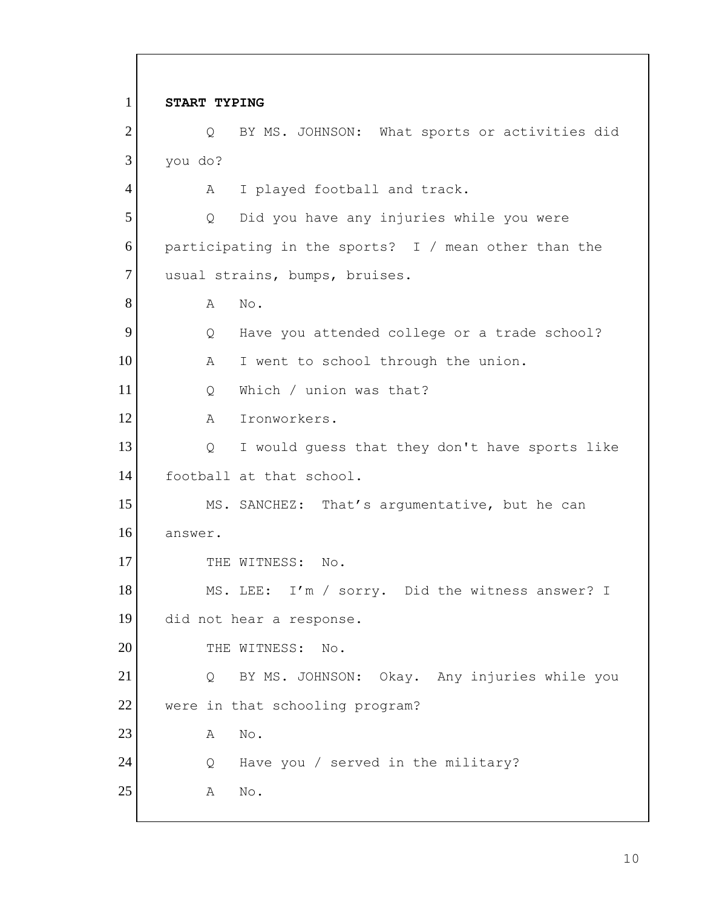$\circ$  participating in the sports? I / mean other than the  $\mathbb{A}$  $\circ$  $\overline{A}$  $\overline{Q}$  football at that school. THE WITNESS: No.  $Q_{\perp}$  $\overline{A}$  $Q$  $\mathbb{A}$ 1 2 3 4 5 6 7 8 9 10 11 12 13 14 15 16 17 18 19 20 21 22 23 24 25 **START TYPING**  Q BY MS. JOHNSON: What sports or activities did you do? A I played football and track. Did you have any injuries while you were usual strains, bumps, bruises. A No. Have you attended college or a trade school? A I went to school through the union. Q Which / union was that? Ironworkers. I would guess that they don't have sports like MS. SANCHEZ: That's argumentative, but he can answer. MS. LEE: I'm / sorry. Did the witness answer? I did not hear a response. THE WITNESS: No. BY MS. JOHNSON: Okay. Any injuries while you were in that schooling program? A No. Have you / served in the military? No.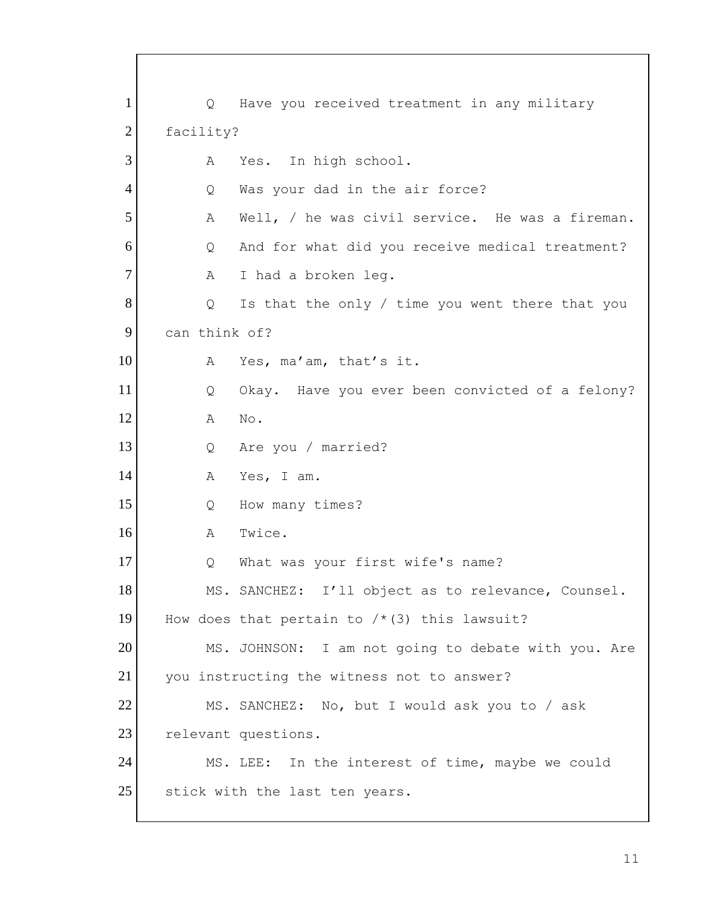| $\mathbf{1}$   | $Q_{\perp}$   | Have you received treatment in any military         |
|----------------|---------------|-----------------------------------------------------|
| $\overline{2}$ | facility?     |                                                     |
| 3              | Α             | Yes. In high school.                                |
| $\overline{4}$ | Q             | Was your dad in the air force?                      |
| 5              | А             | Well, / he was civil service. He was a fireman.     |
| 6              | Q             | And for what did you receive medical treatment?     |
| $\overline{7}$ | A             | I had a broken leg.                                 |
| 8              | Q             | Is that the only / time you went there that you     |
| 9              | can think of? |                                                     |
| 10             | A             | Yes, ma'am, that's it.                              |
| 11             | $\circ$       | Okay. Have you ever been convicted of a felony?     |
| 12             | A             | No.                                                 |
| 13             | Q             | Are you / married?                                  |
| 14             | Α             | Yes, I am.                                          |
| 15             | Q             | How many times?                                     |
| 16             | A             | Twice.                                              |
| 17             | Q             | What was your first wife's name?                    |
| 18             |               | MS. SANCHEZ: I'll object as to relevance, Counsel.  |
| 19             |               | How does that pertain to $/*$ (3) this lawsuit?     |
| 20             |               | MS. JOHNSON: I am not going to debate with you. Are |
| 21             |               | you instructing the witness not to answer?          |
| 22             |               | MS. SANCHEZ: No, but I would ask you to / ask       |
| 23             |               | relevant questions.                                 |
| 24             |               | MS. LEE: In the interest of time, maybe we could    |
| 25             |               | stick with the last ten years.                      |
|                |               |                                                     |

Г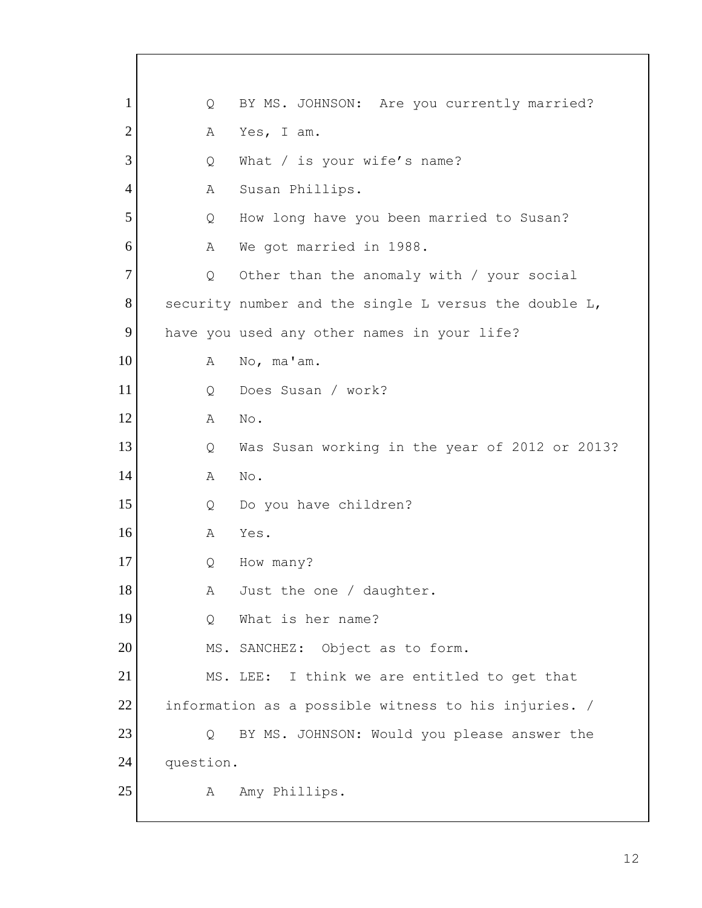| 1              |           | Q | BY MS. JOHNSON: Are you currently married?            |
|----------------|-----------|---|-------------------------------------------------------|
| $\overline{2}$ |           | Α | Yes, I am.                                            |
| 3              |           | Q | What / is your wife's name?                           |
| $\overline{4}$ |           | Α | Susan Phillips.                                       |
| 5              |           | Q | How long have you been married to Susan?              |
| 6              |           | Α | We got married in 1988.                               |
| $\tau$         |           | Q | Other than the anomaly with / your social             |
| 8              |           |   | security number and the single L versus the double L, |
| 9              |           |   | have you used any other names in your life?           |
| 10             |           | Α | No, ma'am.                                            |
| 11             |           | Q | Does Susan / work?                                    |
| 12             |           | A | No.                                                   |
| 13             |           | Q | Was Susan working in the year of 2012 or 2013?        |
| 14             |           | A | No.                                                   |
| 15             |           | Q | Do you have children?                                 |
| 16             |           | A | Yes.                                                  |
| 17             |           | Q | How many?                                             |
| 18             |           | Α | Just the one / daughter.                              |
| 19             |           | Q | What is her name?                                     |
| 20             |           |   | MS. SANCHEZ: Object as to form.                       |
| 21             |           |   | I think we are entitled to get that<br>MS. LEE:       |
| 22             |           |   | information as a possible witness to his injuries. /  |
| 23             |           | Q | BY MS. JOHNSON: Would you please answer the           |
| 24             | question. |   |                                                       |
| 25             |           | Α | Amy Phillips.                                         |
|                |           |   |                                                       |

 $\sqrt{ }$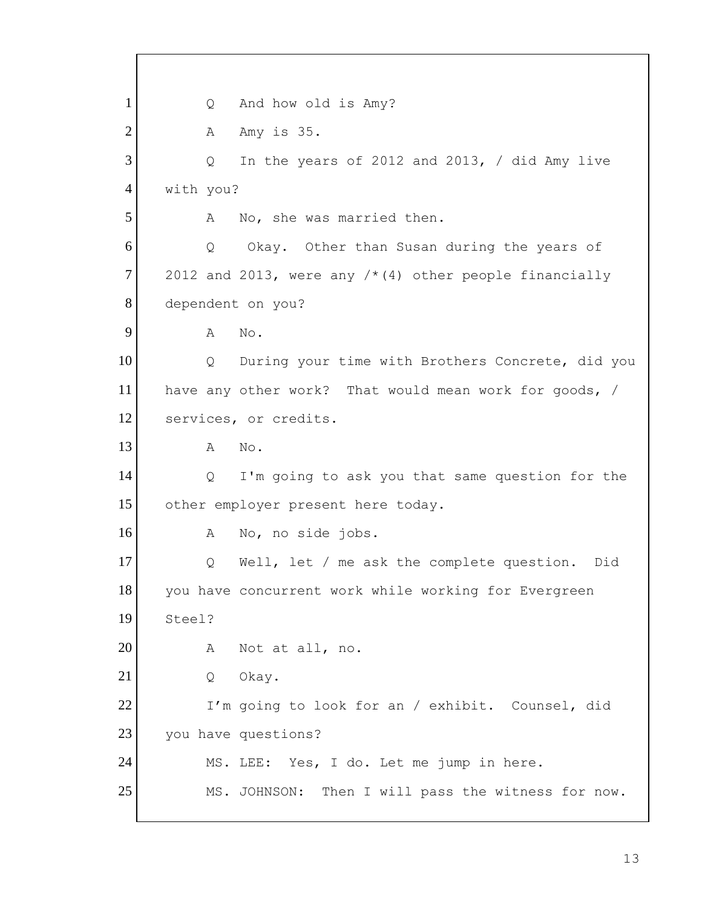2012 and 2013, were any  $/*$  (4) other people financially  $\mathbb{A}$ have any other work? That would mean work for goods, / I'm going to look for an / exhibit. Counsel, did 1 2 3 4 5 6 7 8 9 10 11 12 13 14 15 16 17 18 19 20 21 22 23 24 25 Q And how old is Amy? A Amy is 35. Q In the years of 2012 and 2013, / did Amy live with you? A No, she was married then. Q Okay. Other than Susan during the years of dependent on you? No. Q During your time with Brothers Concrete, did you services, or credits. A No. Q I'm going to ask you that same question for the other employer present here today. A No, no side jobs. Q Well, let / me ask the complete question. Did you have concurrent work while working for Evergreen Steel? A Not at all, no. Q Okay. you have questions? MS. LEE: Yes, I do. Let me jump in here. MS. JOHNSON: Then I will pass the witness for now.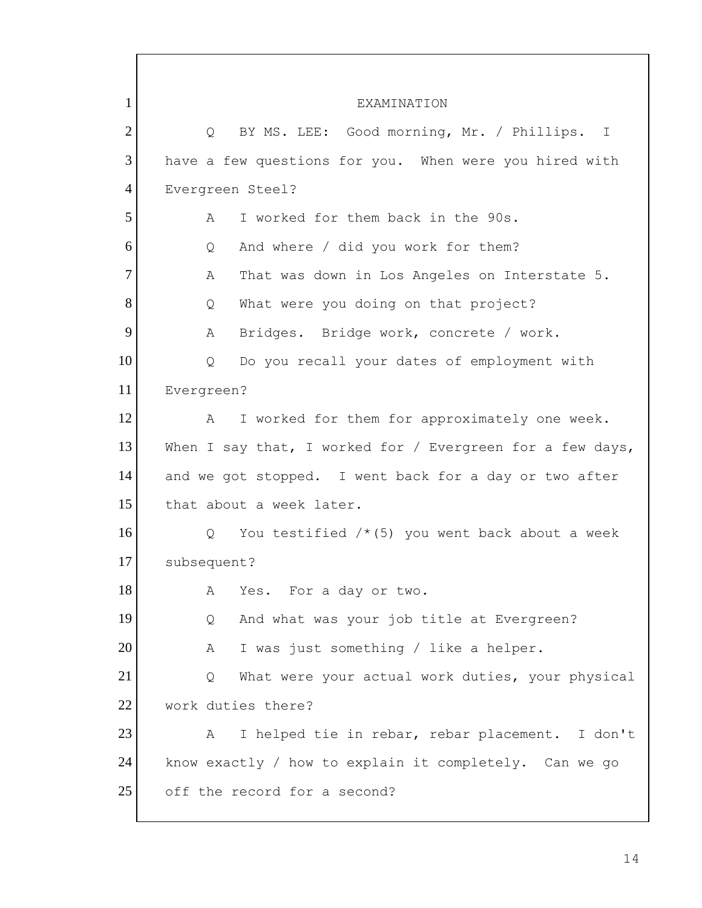Q BY MS. LEE: Good morning, Mr. / Phillips. I  $\mathbb{A}$  $\circ$  $\mathbb{A}$  $\overline{Q}$  $\mathsf{A}$  $\overline{Q}$  $\mathcal{A}$  $\overline{Q}$  $\mathsf{A}$  $\overline{Q}$  $\mathbb{A}$ 1 2 3 4 5 6 7 8 9 10 11 12 13 14 15 16 17 18 19 20 21 22 23 24 25 **EXAMINATION** have a few questions for you. When were you hired with Evergreen Steel? A I worked for them back in the 90s. Q And where / did you work for them? That was down in Los Angeles on Interstate 5. What were you doing on that project? Bridges. Bridge work, concrete / work. Do you recall your dates of employment with Evergreen? I worked for them for approximately one week. When I say that, I worked for / Evergreen for a few days, and we got stopped. I went back for a day or two after that about a week later. You testified  $/*(5)$  you went back about a week subsequent? Yes. For a day or two. And what was your job title at Evergreen? I was just something / like a helper. What were your actual work duties, your physical work duties there? I helped tie in rebar, rebar placement. I don't know exactly / how to explain it completely. Can we go off the record for a second?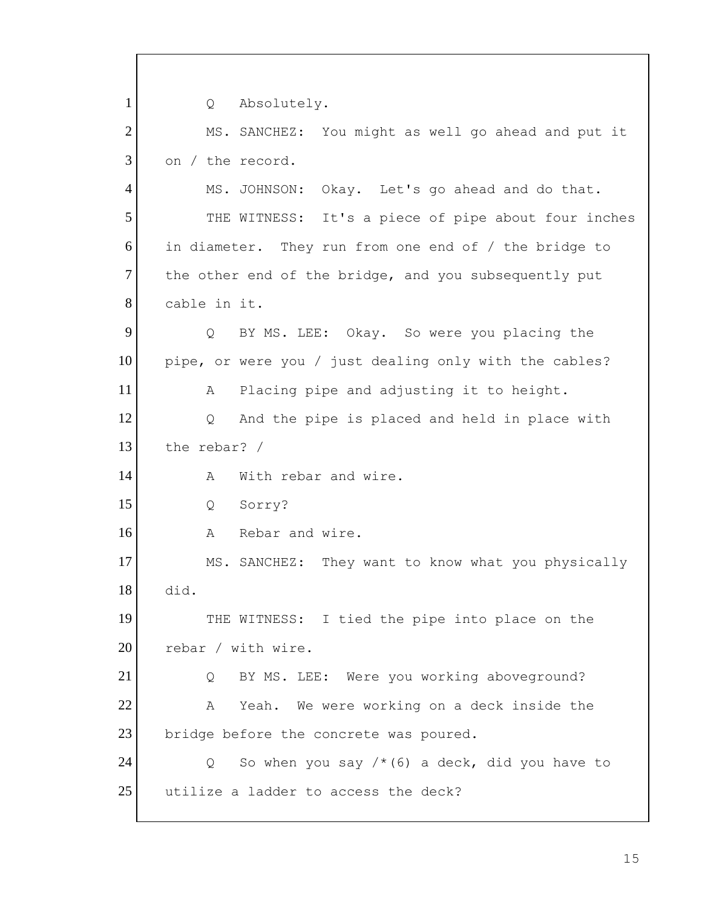$Q \qquad \qquad$  the rebar? /  $\lambda$  A Rebar and wire. rebar / with wire.  $\overline{Q}$ 1 2 3 4 5 6 7 8 9 10 11 12 13 14 15 16 17 18 19 20 21 22 23 24 25 Absolutely. MS. SANCHEZ: You might as well go ahead and put it on / the record. MS. JOHNSON: Okay. Let's go ahead and do that. THE WITNESS: It's a piece of pipe about four inches in diameter. They run from one end of / the bridge to the other end of the bridge, and you subsequently put cable in it. Q BY MS. LEE: Okay. So were you placing the pipe, or were you / just dealing only with the cables? A Placing pipe and adjusting it to height. Q And the pipe is placed and held in place with With rebar and wire. Q Sorry? MS. SANCHEZ: They want to know what you physically did. THE WITNESS: I tied the pipe into place on the Q BY MS. LEE: Were you working aboveground? A Yeah. We were working on a deck inside the bridge before the concrete was poured. So when you say  $/*(6)$  a deck, did you have to utilize a ladder to access the deck?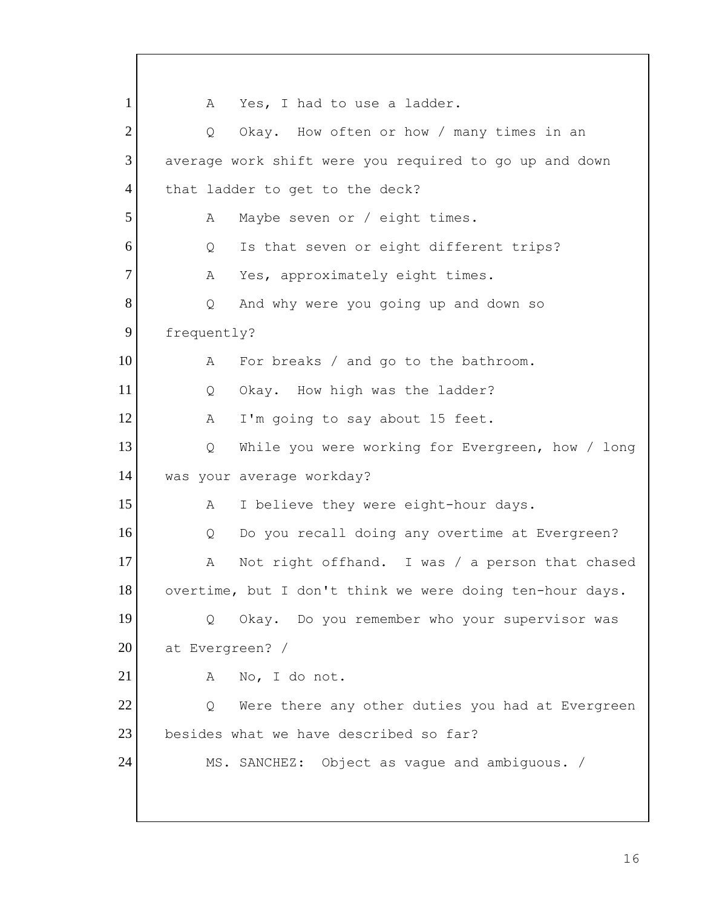$\circ$  average work shift were you required to go up and down  $\mathsf{A}$ Q Α  $\circ$  $\mathbb{A}$  Q While you were working for Evergreen, how / long Q Do you recall doing any overtime at Evergreen?  $\overline{Q}$  at Evergreen? /  $\mathbb{A}$  $\circ$  MS. SANCHEZ: Object as vague and ambiguous. / 1 2 3 4 5 6 7 8 9 10 11 12 13 14 15 16 17 18 19 20 21 22 23 24 A Yes, I had to use a ladder. Okay. How often or how / many times in an that ladder to get to the deck? Maybe seven or / eight times. Is that seven or eight different trips? Yes, approximately eight times. And why were you going up and down so frequently? For breaks / and go to the bathroom. Q Okay. How high was the ladder? A I'm going to say about 15 feet. was your average workday? A I believe they were eight-hour days. A Not right offhand. I was / a person that chased overtime, but I don't think we were doing ten-hour days. Okay. Do you remember who your supervisor was A No, I do not. Were there any other duties you had at Evergreen besides what we have described so far?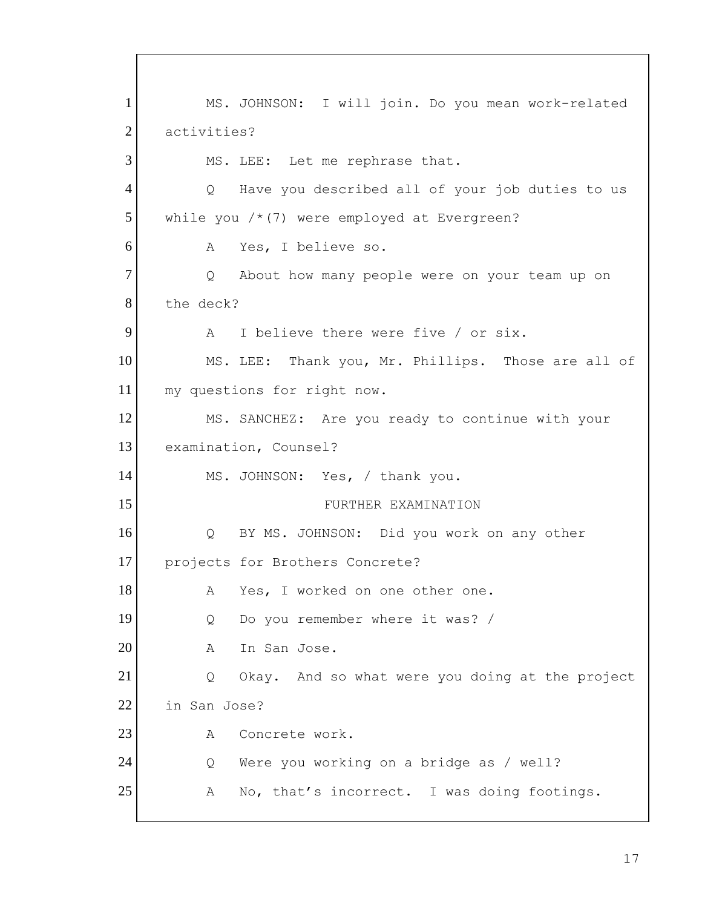$A$  $Q_{\perp}$  $\mathbb A$  MS. JOHNSON: Yes, / thank you. Q Do you remember where it was? /  $\overline{Q}$  $\mathbb{A}$  $\overline{Q}$  $\mathbb{A}$ 1 2 3 4 5 6 7 8 9 10 11 12 13 14 15 16 17 18 19 20 21 22 23 24 25 MS. JOHNSON: I will join. Do you mean work-related activities? MS. LEE: Let me rephrase that. Q Have you described all of your job duties to us while you  $/*(7)$  were employed at Evergreen? Yes, I believe so. About how many people were on your team up on the deck? I believe there were five / or six. MS. LEE: Thank you, Mr. Phillips. Those are all of my questions for right now. MS. SANCHEZ: Are you ready to continue with your examination, Counsel? FURTHER EXAMINATION Q BY MS. JOHNSON: Did you work on any other projects for Brothers Concrete? A Yes, I worked on one other one. A In San Jose. Okay. And so what were you doing at the project in San Jose? Concrete work. Were you working on a bridge as / well? No, that's incorrect. I was doing footings.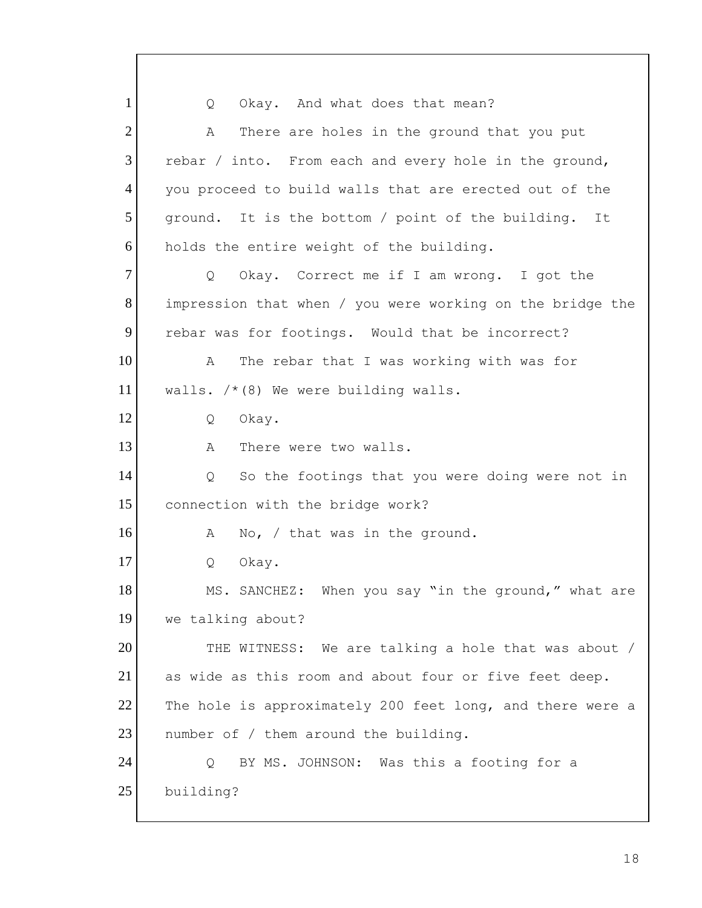$\circ$  $\mathbb{A}$ rebar / into. From each and every hole in the ground,  $\circ$  impression that when / you were working on the bridge the  $\mathbb{A}$  $\overline{Q}$  $\mathbb{A}$  $\circ$  $\mathbb{A}$  $\circ$  THE WITNESS: We are talking a hole that was about / as wide as this room and about four or five feet deep. The hole is approximately 200 feet long, and there were a  $\circ$ 1 2 3 4 5 6 7 8 9 10 11 12 13 14 15 16 17 18 19 20 21 22 23 24 25 Okay. And what does that mean? There are holes in the ground that you put you proceed to build walls that are erected out of the ground. It is the bottom / point of the building. It holds the entire weight of the building. Okay. Correct me if I am wrong. I got the rebar was for footings. Would that be incorrect? The rebar that I was working with was for walls.  $/*(8)$  We were building walls. Okay. There were two walls. So the footings that you were doing were not in connection with the bridge work? No,  $/$  that was in the ground. Okay. MS. SANCHEZ: When you say "in the ground," what are we talking about? number of / them around the building. BY MS. JOHNSON: Was this a footing for a building?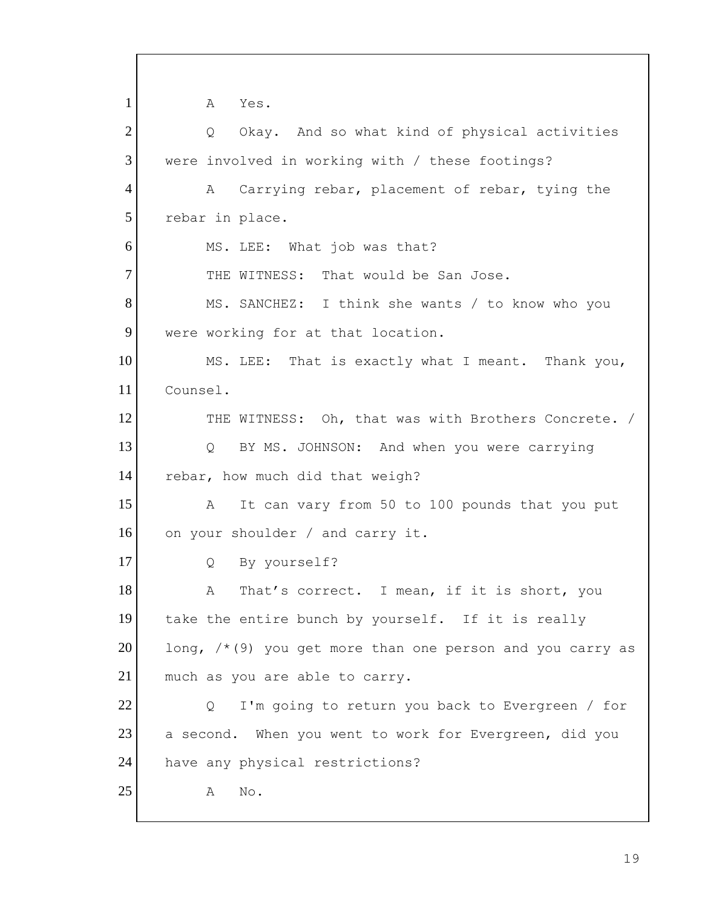$\mathsf{A}$ Q MS. LEE: That is exactly what I meant. Thank you, THE WITNESS: Oh, that was with Brothers Concrete. /  $Q$  $\mathbb{A}$  $\circ$  $A$ long,  $/*$ (9) you get more than one person and you carry as much as you are able to carry.  $\circ$  $\mathsf{A}$ 1 2 3 4 5 6 7 8 9 10 11 12 13 14 15 16 17 18 19 20 21 22 23 24 25 Yes. Okay. And so what kind of physical activities were involved in working with / these footings? A Carrying rebar, placement of rebar, tying the rebar in place. MS. LEE: What job was that? THE WITNESS: That would be San Jose. MS. SANCHEZ: I think she wants / to know who you were working for at that location. Counsel. BY MS. JOHNSON: And when you were carrying rebar, how much did that weigh? It can vary from 50 to 100 pounds that you put on your shoulder / and carry it. By yourself? That's correct. I mean, if it is short, you take the entire bunch by yourself. If it is really I'm going to return you back to Evergreen / for a second. When you went to work for Evergreen, did you have any physical restrictions? A No.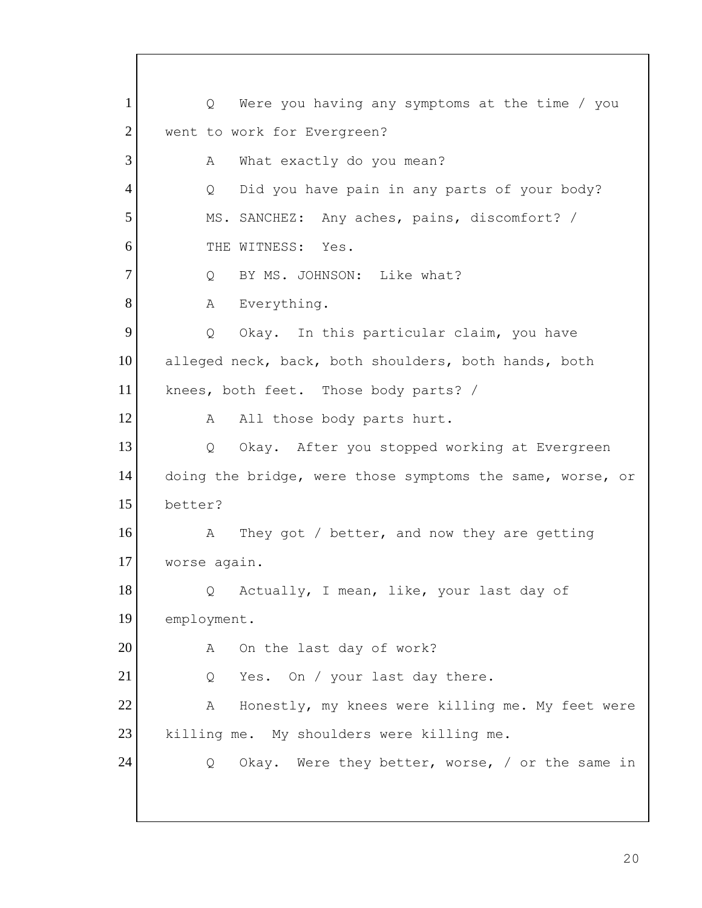$Q_{\cdot}$ A  $\overline{Q}$  MS. SANCHEZ: Any aches, pains, discomfort? /  $\mathbb A$  $\overline{Q}$  knees, both feet. Those body parts? /  $\mathbb A$  $\overline{Q}$  $\lambda$  worse again.  $\overline{Q}$  $\mathsf{A}$  $\circ$  $\mathbb{A}$  killing me. My shoulders were killing me. Q Okay. Were they better, worse, / or the same in 1 2 3 4 5 6 7 8 9 10 11 12 13 14 15 16 17 18 19 20 21 22 23 24 Were you having any symptoms at the time / you went to work for Evergreen? What exactly do you mean? Did you have pain in any parts of your body? THE WITNESS: Yes. Q BY MS. JOHNSON: Like what? Everything. Okay. In this particular claim, you have alleged neck, back, both shoulders, both hands, both All those body parts hurt. Okay. After you stopped working at Evergreen doing the bridge, were those symptoms the same, worse, or better? They got / better, and now they are getting Actually, I mean, like, your last day of employment. On the last day of work? Yes. On / your last day there. Honestly, my knees were killing me. My feet were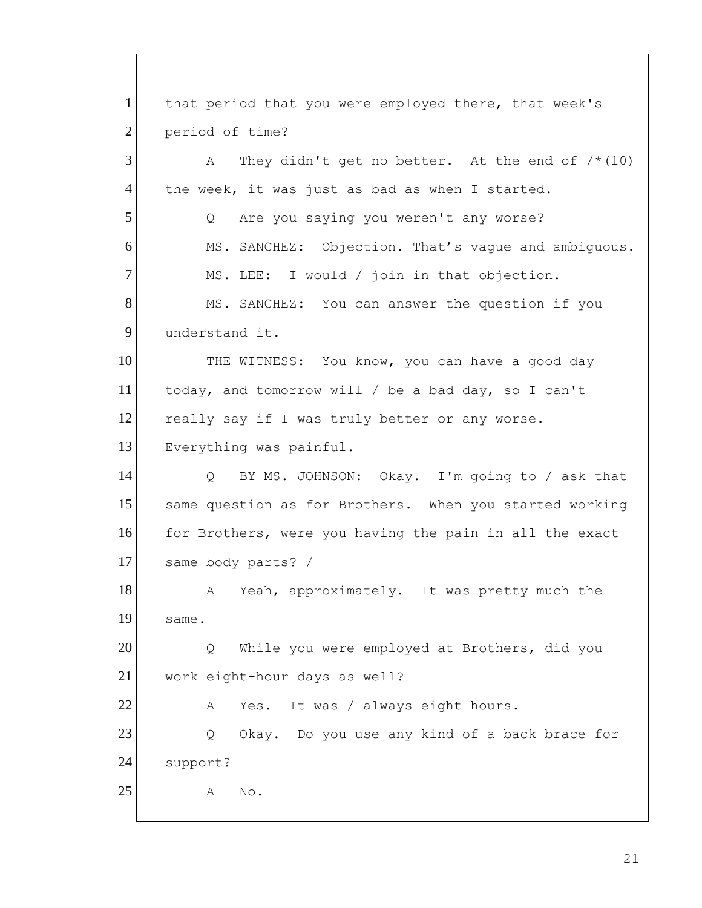A  $\circ$ THE WITNESS: You know, you can have a good day today, and tomorrow will / be a bad day, so I can't really say if I was truly better or any worse.  $\circ$  same body parts? / A  $\circ$  $A$  $\circ$  $\mathbb{A}$ 1 2 3 4 5 6 7 8 9 10 11 12 13 14 15 16 17 18 19 20 21 22 23 24 25 that period that you were employed there, that week's period of time? They didn't get no better. At the end of  $/*(10)$ the week, it was just as bad as when I started. Are you saying you weren't any worse? MS. SANCHEZ: Objection. That's vague and ambiguous. MS. LEE: I would / join in that objection. MS. SANCHEZ: You can answer the question if you understand it. Everything was painful. BY MS. JOHNSON: Okay. I'm going to / ask that same question as for Brothers. When you started working for Brothers, were you having the pain in all the exact Yeah, approximately. It was pretty much the same. While you were employed at Brothers, did you work eight-hour days as well? Yes. It was / always eight hours. Okay. Do you use any kind of a back brace for support? No.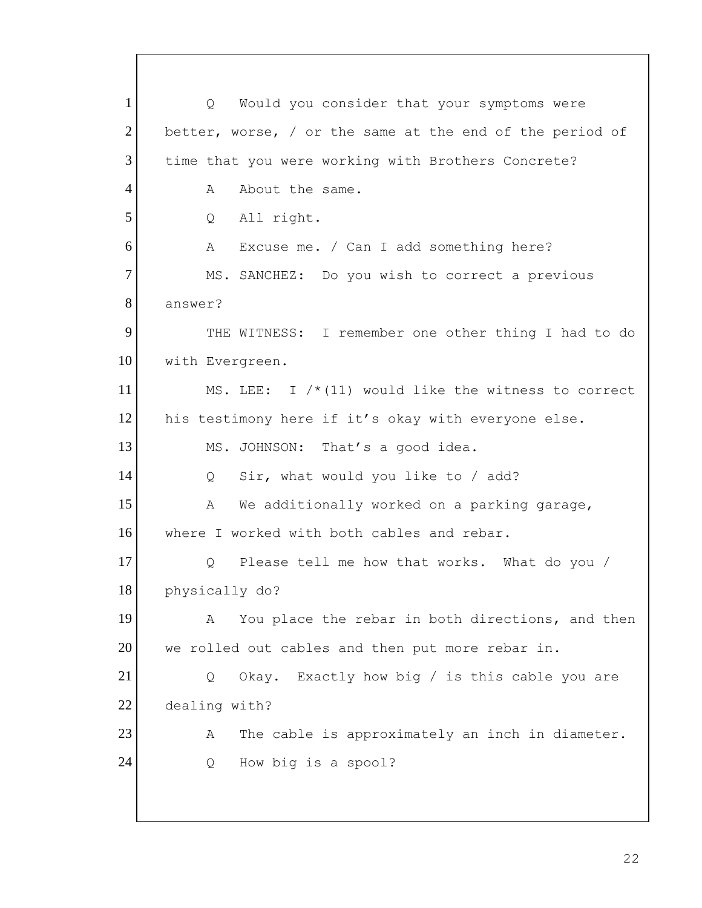$Q_{\perp}$  Q Okay. Exactly how big / is this cable you are 1 2 3 4 5 6 7 8 9 10 11 12 13 14 15 16 17 18 19 20 21 22 23 24 Would you consider that your symptoms were better, worse, / or the same at the end of the period of time that you were working with Brothers Concrete? A About the same. Q All right. A Excuse me. / Can I add something here? MS. SANCHEZ: Do you wish to correct a previous answer? THE WITNESS: I remember one other thing I had to do with Evergreen. MS. LEE: I  $/*$  (11) would like the witness to correct his testimony here if it's okay with everyone else. MS. JOHNSON: That's a good idea. Q Sir, what would you like to / add? A We additionally worked on a parking garage, where I worked with both cables and rebar. Q Please tell me how that works. What do you / physically do? A You place the rebar in both directions, and then we rolled out cables and then put more rebar in. dealing with? A The cable is approximately an inch in diameter. Q How big is a spool?